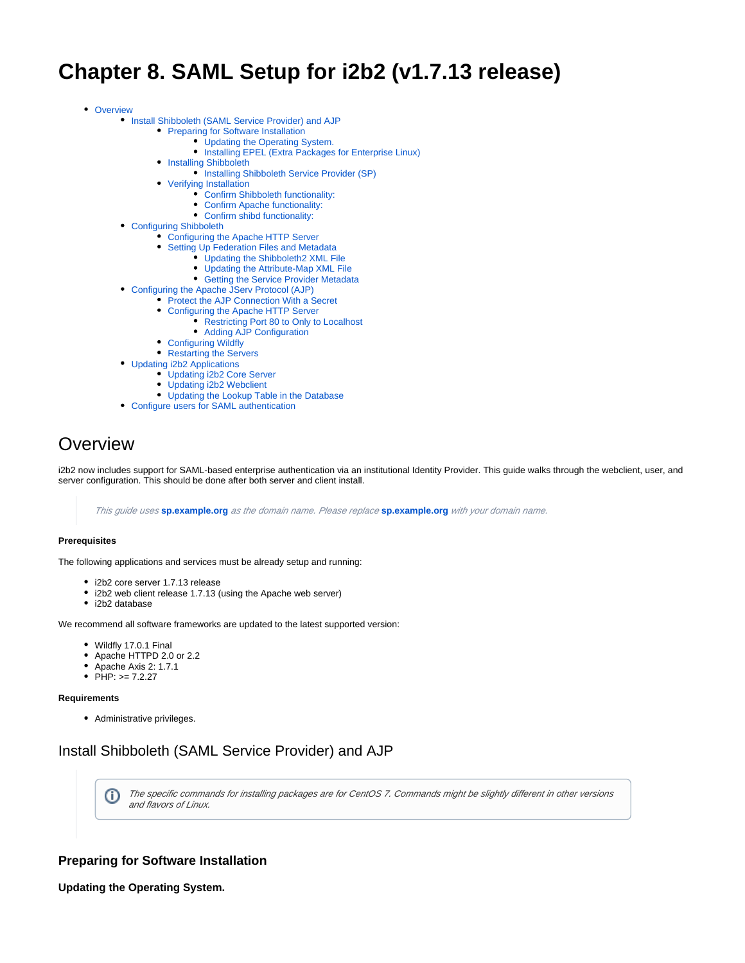# **Chapter 8. SAML Setup for i2b2 (v1.7.13 release)**

• [Overview](#page-0-0)

- [Install Shibboleth \(SAML Service Provider\) and AJP](#page-0-1)
	- **[Preparing for Software Installation](#page-0-2)** 
		- [Updating the Operating System.](#page-0-3)
		- [Installing EPEL \(Extra Packages for Enterprise Linux\)](#page-1-0)
	- **[Installing Shibboleth](#page-1-1)** 
		- **•** [Installing Shibboleth Service Provider \(SP\)](#page-1-2)
	- [Verifying Installation](#page-1-3)
		- [Confirm Shibboleth functionality:](#page-1-4)
		- [Confirm Apache functionality:](#page-1-5)
		- [Confirm shibd functionality:](#page-1-6)
- [Configuring Shibboleth](#page-1-7)
	- [Configuring the Apache HTTP Server](#page-1-8)
	- [Setting Up Federation Files and Metadata](#page-2-0)
		- [Updating the Shibboleth2 XML File](#page-2-1)
		- [Updating the Attribute-Map XML File](#page-2-2)
		- **[Getting the Service Provider Metadata](#page-3-0)**
- [Configuring the Apache JServ Protocol \(AJP\)](#page-3-1)
	- [Protect the AJP Connection With a Secret](#page-3-2) [Configuring the Apache HTTP Server](#page-4-0)
		- **[Restricting Port 80 to Only to Localhost](#page-4-1)** 
			- [Adding AJP Configuration](#page-4-2)
		-
	- [Configuring Wildfly](#page-4-3)
- [Restarting the Servers](#page-5-0)
- [Updating i2b2 Applications](#page-5-1) [Updating i2b2 Core Server](#page-5-2)
	- [Updating i2b2 Webclient](#page-5-3)
	- [Updating the Lookup Table in the Database](#page-5-4)
- [Configure users for SAML authentication](#page-6-0)

## <span id="page-0-0"></span>**Overview**

i2b2 now includes support for SAML-based enterprise authentication via an institutional Identity Provider. This guide walks through the webclient, user, and server configuration. This should be done after both server and client install.

This guide uses **[sp.example.org](http://sp.example.org)** as the domain name. Please replace **[sp.example.org](http://sp.example.org)** with your domain name.

#### **Prerequisites**

The following applications and services must be already setup and running:

- i2b2 core server 1.7.13 release
- i2b2 web client release 1.7.13 (using the Apache web server)
- i2b2 database

We recommend all software frameworks are updated to the latest supported version:

- Wildfly 17.0.1 Final
- Apache HTTPD 2.0 or 2.2
- Apache Axis 2: 1.7.1
- $\bullet$  PHP:  $> = 7.2.27$

#### **Requirements**

• Administrative privileges.

## <span id="page-0-1"></span>Install Shibboleth (SAML Service Provider) and AJP

The specific commands for installing packages are for CentOS 7. Commands might be slightly different in other versions O and flavors of Linux.

## <span id="page-0-2"></span>**Preparing for Software Installation**

<span id="page-0-3"></span>**Updating the Operating System.**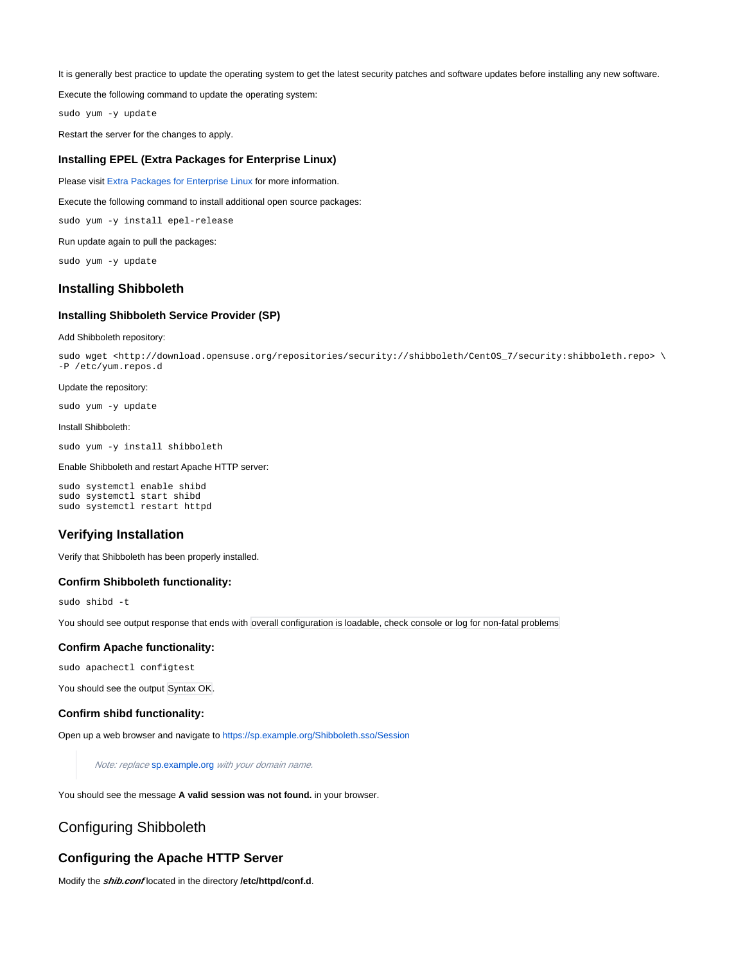It is generally best practice to update the operating system to get the latest security patches and software updates before installing any new software.

Execute the following command to update the operating system:

sudo yum -y update

Restart the server for the changes to apply.

#### <span id="page-1-0"></span>**Installing EPEL (Extra Packages for Enterprise Linux)**

Please visit [Extra Packages for Enterprise Linux](https://docs.fedoraproject.org/en-US/epel/) for more information.

Execute the following command to install additional open source packages:

sudo yum -y install epel-release

Run update again to pull the packages:

sudo yum -y update

## <span id="page-1-1"></span>**Installing Shibboleth**

## <span id="page-1-2"></span>**Installing Shibboleth Service Provider (SP)**

#### Add Shibboleth repository:

sudo wget <http://download.opensuse.org/repositories/security://shibboleth/CentOS\_7/security:shibboleth.repo> \ -P /etc/yum.repos.d

#### Update the repository:

sudo yum -y update

#### Install Shibboleth:

sudo yum -y install shibboleth

#### Enable Shibboleth and restart Apache HTTP server:

sudo systemctl enable shibd sudo systemctl start shibd sudo systemctl restart httpd

## <span id="page-1-3"></span>**Verifying Installation**

Verify that Shibboleth has been properly installed.

## <span id="page-1-4"></span>**Confirm Shibboleth functionality:**

sudo shibd -t

You should see output response that ends with overall configuration is loadable, check console or log for non-fatal problems

#### <span id="page-1-5"></span>**Confirm Apache functionality:**

sudo apachectl configtest

You should see the output Syntax OK.

## <span id="page-1-6"></span>**Confirm shibd functionality:**

Open up a web browser and navigate to [https://sp.example.org/Shibboleth.sso/Session](https://sp.example.org/Shibboleth.sso/Session***.)

Note: replace [sp.example.org](http://sp.example.org) with your domain name.

You should see the message **A valid session was not found.** in your browser.

## <span id="page-1-7"></span>Configuring Shibboleth

## <span id="page-1-8"></span>**Configuring the Apache HTTP Server**

Modify the **shib.conf** located in the directory **/etc/httpd/conf.d**.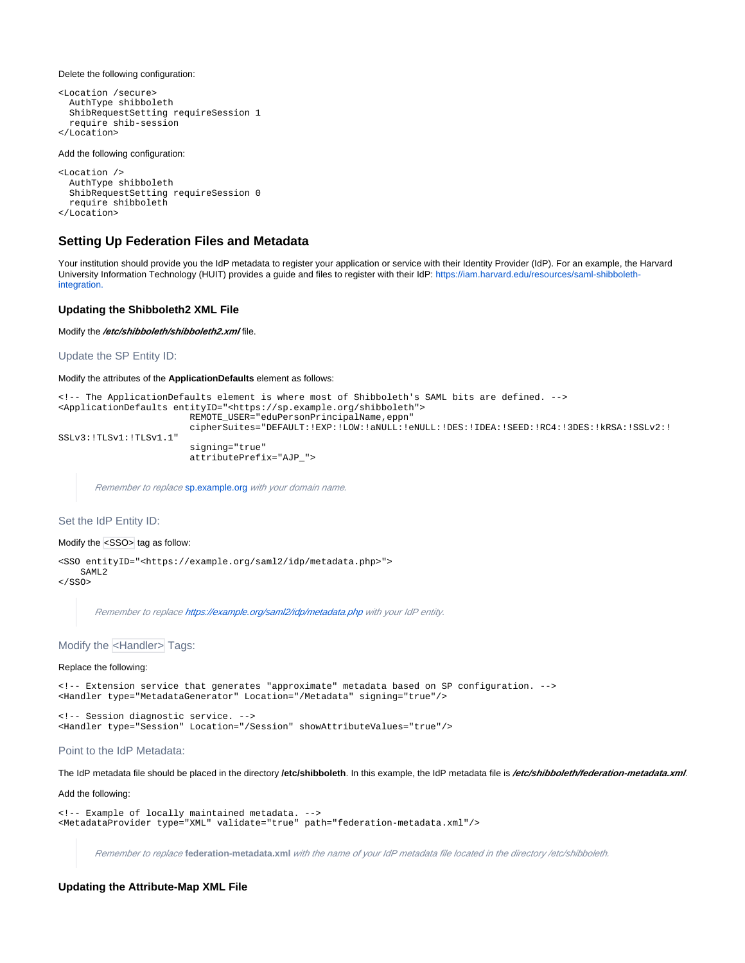Delete the following configuration:

```
<Location /secure>
  AuthType shibboleth
  ShibRequestSetting requireSession 1
  require shib-session
</Location>
```
#### Add the following configuration:

```
<Location />
  AuthType shibboleth
  ShibRequestSetting requireSession 0
  require shibboleth
</Location>
```
## <span id="page-2-0"></span>**Setting Up Federation Files and Metadata**

Your institution should provide you the IdP metadata to register your application or service with their Identity Provider (IdP). For an example, the Harvard University Information Technology (HUIT) provides a guide and files to register with their IdP: [https://iam.harvard.edu/resources/saml-shibboleth](https://iam.harvard.edu/resources/saml-shibboleth-integration.)[integration.](https://iam.harvard.edu/resources/saml-shibboleth-integration.)

#### <span id="page-2-1"></span>**Updating the Shibboleth2 XML File**

Modify the /etc/shibboleth/shibboleth2.xml file.

Update the SP Entity ID:

Modify the attributes of the **ApplicationDefaults** element as follows:

```
<!-- The ApplicationDefaults element is where most of Shibboleth's SAML bits are defined. -->
<ApplicationDefaults entityID="<https://sp.example.org/shibboleth">
                         REMOTE_USER="eduPersonPrincipalName,eppn"
                         cipherSuites="DEFAULT:!EXP:!LOW:!aNULL:!eNULL:!DES:!IDEA:!SEED:!RC4:!3DES:!kRSA:!SSLv2:!
SSLv3:!TLSv1:!TLSv1.1"
                         signing="true"
                         attributePrefix="AJP_">
```
Remember to replace [sp.example.org](http://sp.example.org) with your domain name.

## Set the IdP Entity ID:

#### Modify the <SSO> tag as follow:

<SSO entityID="<https://example.org/saml2/idp/metadata.php>"> SAML2

 $\langle$ /SSO $\rangle$ 

Remember to replace<https://example.org/saml2/idp/metadata.php> with your IdP entity.

#### Modify the <Handler> Tags:

#### Replace the following:

<!-- Extension service that generates "approximate" metadata based on SP configuration. --> <Handler type="MetadataGenerator" Location="/Metadata" signing="true"/>

```
<!-- Session diagnostic service. -->
<Handler type="Session" Location="/Session" showAttributeValues="true"/>
```
#### Point to the IdP Metadata:

The IdP metadata file should be placed in the directory **/etc/shibboleth**. In this example, the IdP metadata file is **/etc/shibboleth/federation-metadata.xml**.

#### Add the following:

```
<!-- Example of locally maintained metadata. -->
<MetadataProvider type="XML" validate="true" path="federation-metadata.xml"/>
```
Remember to replace **federation-metadata.xml** with the name of your IdP metadata file located in the directory /etc/shibboleth.

#### <span id="page-2-2"></span>**Updating the Attribute-Map XML File**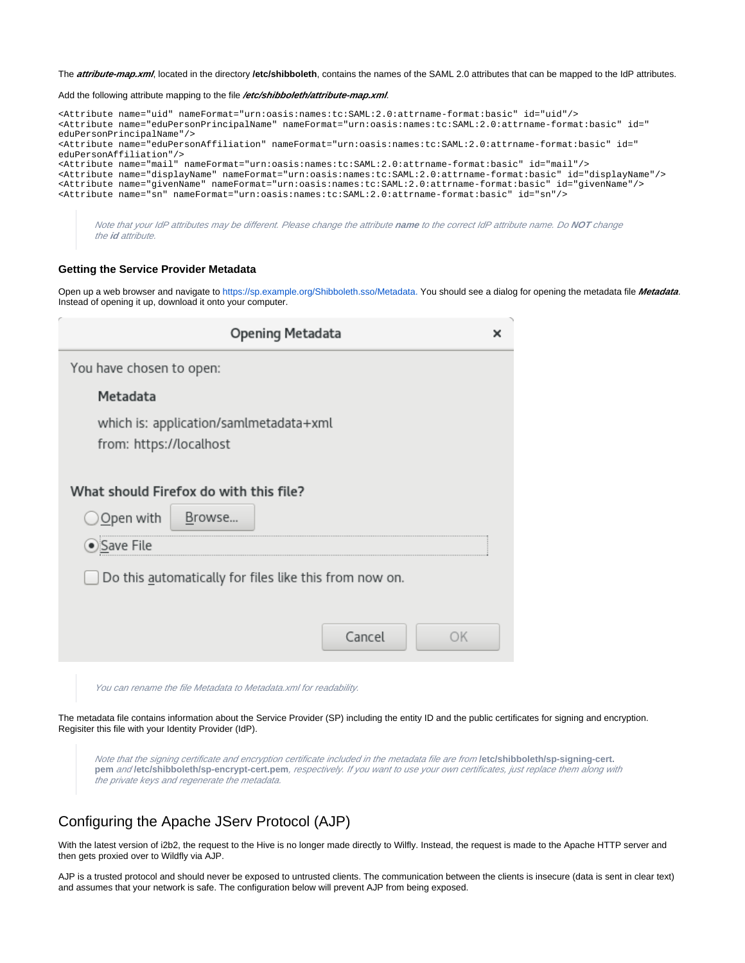The **attribute-map.xml**, located in the directory **/etc/shibboleth**, contains the names of the SAML 2.0 attributes that can be mapped to the IdP attributes.

Add the following attribute mapping to the file **/etc/shibboleth/attribute-map.xml**.

| <attribute id="uid" name="uid" nameformat="urn:oasis:names:tc:SAML:2.0:attrname-format:basic"></attribute>                                                                                 |
|--------------------------------------------------------------------------------------------------------------------------------------------------------------------------------------------|
| <attribute id="&lt;/td&gt;&lt;/tr&gt;&lt;tr&gt;&lt;td&gt;eduPersonPrincipalName" name="eduPersonPrincipalName" nameformat="urn:oasis:names:tc:SAML:2.0:attrname-format:basic"></attribute> |
| <attribute id="&lt;/td&gt;&lt;/tr&gt;&lt;tr&gt;&lt;td&gt;eduPersonAffiliation" name="eduPersonAffiliation" nameformat="urn:oasis:names:tc:SAML:2.0:attrname-format:basic"></attribute>     |
| <attribute id="mail" name="mail" nameformat="urn:oasis:names:tc:SAML:2.0:attrname-format:basic"></attribute>                                                                               |
| <attribute id="displayName" name="displayName" nameformat="urn:oasis:names:tc:SAML:2.0:attrname-format:basic"></attribute>                                                                 |
| <attribute id="qivenName" name="qivenName" nameformat="urn:oasis:names:tc:SAML:2.0:attrname-format:basic"></attribute>                                                                     |
| <attribute id="sn" name="sn" nameformat="urn:oasis:names:tc:SAML:2.0:attrname-format:basic"></attribute>                                                                                   |
|                                                                                                                                                                                            |
|                                                                                                                                                                                            |

Note that your IdP attributes may be different. Please change the attribute **name** to the correct IdP attribute name. Do **NOT** change the **id** attribute.

## <span id="page-3-0"></span>**Getting the Service Provider Metadata**

Open up a web browser and navigate to [https://sp.example.org/Shibboleth.sso/Metadata.](https://sp.example.org/Shibboleth.sso/Metadata***.) You should see a dialog for opening the metadata file **Metadata**. Instead of opening it up, download it onto your computer.

|                                                        | <b>Opening Metadata</b>                |  |  |
|--------------------------------------------------------|----------------------------------------|--|--|
| You have chosen to open:                               |                                        |  |  |
| Metadata                                               |                                        |  |  |
| from: https://localhost                                | which is: application/samlmetadata+xml |  |  |
| What should Firefox do with this file?                 |                                        |  |  |
| Open with                                              | Browse                                 |  |  |
| Save File                                              |                                        |  |  |
| Do this automatically for files like this from now on. |                                        |  |  |
|                                                        |                                        |  |  |
|                                                        | Cancel<br>OK                           |  |  |
|                                                        |                                        |  |  |

You can rename the file Metadata to Metadata.xml for readability.

The metadata file contains information about the Service Provider (SP) including the entity ID and the public certificates for signing and encryption. Regisiter this file with your Identity Provider (IdP).

Note that the signing certificate and encryption certificate included in the metadata file are from **/etc/shibboleth/sp-signing-cert. pem** and **/etc/shibboleth/sp-encrypt-cert.pem**, respectively. If you want to use your own certificates, just replace them along with the private keys and regenerate the metadata.

## <span id="page-3-1"></span>Configuring the Apache JServ Protocol (AJP)

With the latest version of i2b2, the request to the Hive is no longer made directly to Wilfly. Instead, the request is made to the Apache HTTP server and then gets proxied over to Wildfly via AJP.

<span id="page-3-2"></span>AJP is a trusted protocol and should never be exposed to untrusted clients. The communication between the clients is insecure (data is sent in clear text) and assumes that your network is safe. The configuration below will prevent AJP from being exposed.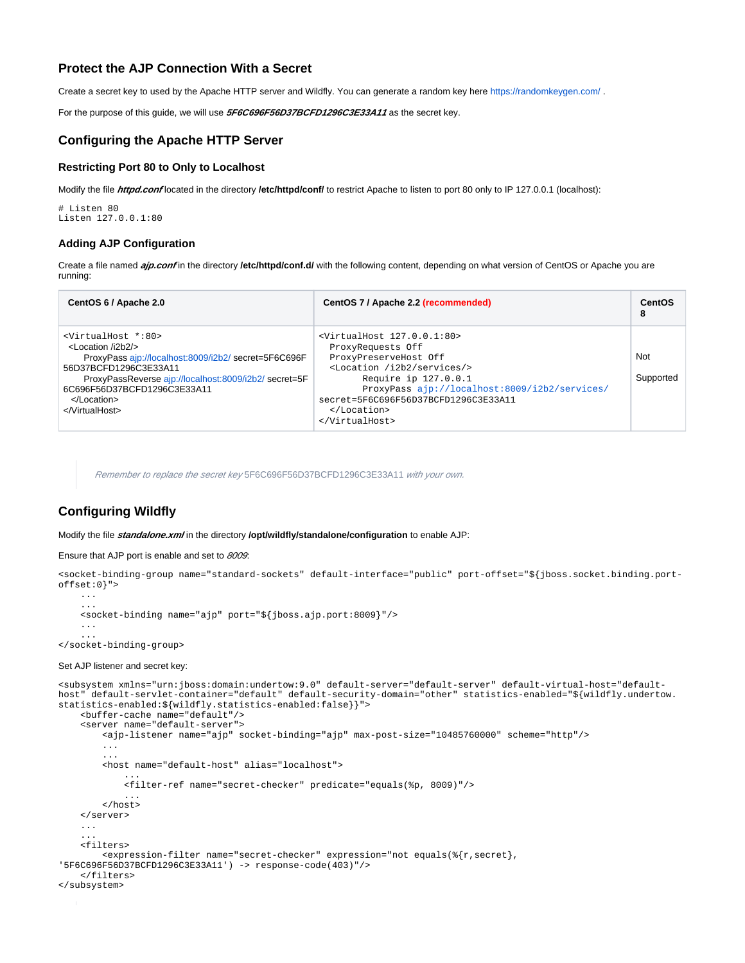## **Protect the AJP Connection With a Secret**

Create a secret key to used by the Apache HTTP server and Wildfly. You can generate a random key here<https://randomkeygen.com/>.

For the purpose of this guide, we will use **5F6C696F56D37BCFD1296C3E33A11** as the secret key.

## <span id="page-4-0"></span>**Configuring the Apache HTTP Server**

## <span id="page-4-1"></span>**Restricting Port 80 to Only to Localhost**

Modify the file **httpd.conf** located in the directory **/etc/httpd/conf/** to restrict Apache to listen to port 80 only to IP 127.0.0.1 (localhost):

# Listen 80 Listen 127.0.0.1:80

#### <span id="page-4-2"></span>**Adding AJP Configuration**

Create a file named **ajp.conf** in the directory *letc/httpd/conf.d/* with the following content, depending on what version of CentOS or Apache you are running:

| CentOS 6 / Apache 2.0                                                                                                                                                                                                                                                         | CentOS 7 / Apache 2.2 (recommended)                                                                                                                                                                                                                                                   | CentOS<br>8      |
|-------------------------------------------------------------------------------------------------------------------------------------------------------------------------------------------------------------------------------------------------------------------------------|---------------------------------------------------------------------------------------------------------------------------------------------------------------------------------------------------------------------------------------------------------------------------------------|------------------|
| <virtualhost *:80=""><br/><math>&lt;</math> ocation <math>(i2h2/s)</math><br/>ProxyPass ajp://localhost:8009/i2b2/ secret=5F6C696F<br/>56D37BCFD1296C3E33A11<br/>ProxyPassReverse ajp://localhost:8009/i2b2/secret=5F<br/>6C696F56D37BCFD1296C3E33A11<br/><br/></virtualhost> | $\frac{1}{2}$ <virtualhost 127.0.0.1:80=""><br/>ProxyRequests Off<br/>ProxyPreserveHost Off<br/><location i2b2="" services=""></location><br/>Require ip 127.0.0.1<br/>ProxyPass ajp://localhost:8009/i2b2/services/<br/>secret=5F6C696F56D37BCFD1296C3E33A11<br/><br/></virtualhost> | Not<br>Supported |

Remember to replace the secret key 5F6C696F56D37BCFD1296C3E33A11 with your own.

## <span id="page-4-3"></span>**Configuring Wildfly**

Modify the file *standalone.xml* in the directory **/opt/wildfly/standalone/configuration** to enable AJP:

#### Ensure that AJP port is enable and set to 8009:

```
<socket-binding-group name="standard-sockets" default-interface="public" port-offset="${jboss.socket.binding.port-
offset:0}">
     ...
     ...
     <socket-binding name="ajp" port="${jboss.ajp.port:8009}"/>
     ...
 ...
</socket-binding-group>
```
#### Set AJP listener and secret key:

```
<subsystem xmlns="urn:jboss:domain:undertow:9.0" default-server="default-server" default-virtual-host="default-
host" default-servlet-container="default" default-security-domain="other" statistics-enabled="${wildfly.undertow.
statistics-enabled:${wildfly.statistics-enabled:false}}">
     <buffer-cache name="default"/>
     <server name="default-server">
         <ajp-listener name="ajp" socket-binding="ajp" max-post-size="10485760000" scheme="http"/>
         ...
 ...
         <host name="default-host" alias="localhost">
 ...
             <filter-ref name="secret-checker" predicate="equals(%p, 8009)"/>
 ...
         </host>
     </server>
     ...
 ...
     <filters>
         <expression-filter name="secret-checker" expression="not equals(%{r,secret}, 
'5F6C696F56D37BCFD1296C3E33A11') -> response-code(403)"/>
     </filters>
</subsystem>
```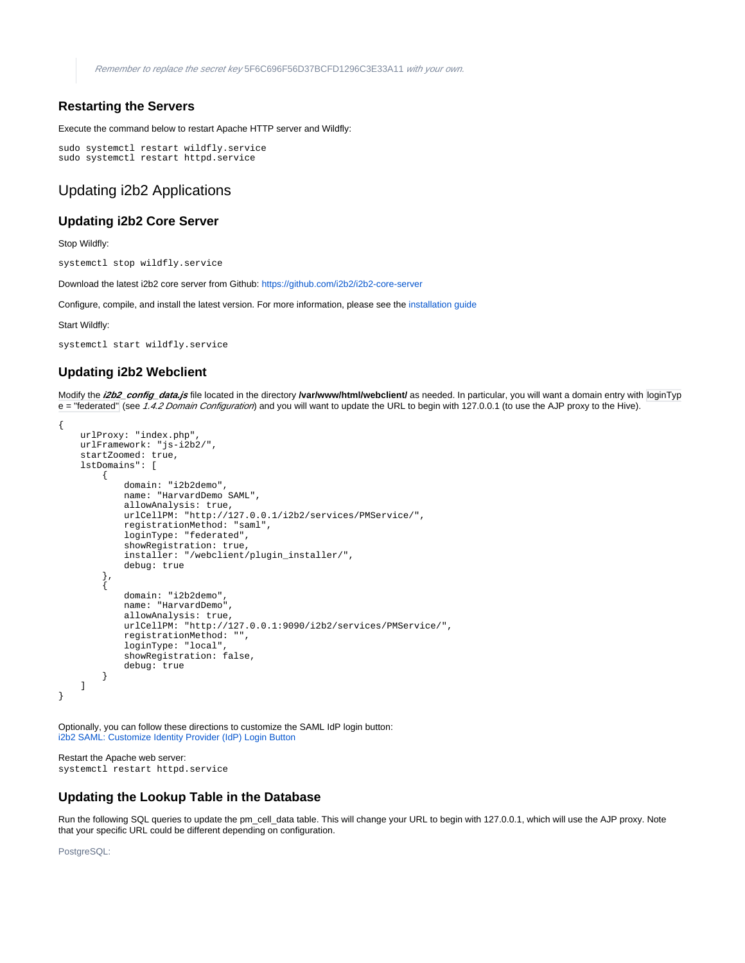## <span id="page-5-0"></span>**Restarting the Servers**

Execute the command below to restart Apache HTTP server and Wildfly:

```
sudo systemctl restart wildfly.service
sudo systemctl restart httpd.service
```
## <span id="page-5-1"></span>Updating i2b2 Applications

## <span id="page-5-2"></span>**Updating i2b2 Core Server**

Stop Wildfly:

systemctl stop wildfly.service

Download the latest i2b2 core server from Github:<https://github.com/i2b2/i2b2-core-server>

Configure, compile, and install the latest version. For more information, please see the [installation guide](https://community.i2b2.org/wiki/display/getstarted/A.+Server+Install+on+1.7.12+and+higher)

Start Wildfly:

```
systemctl start wildfly.service
```
## <span id="page-5-3"></span>**Updating i2b2 Webclient**

Modify the **i2b2\_config\_data.js** file located in the directory **/var/www/html/webclient/** as needed. In particular, you will want a domain entry with loginTyp e = "federated" (see 1.4.2 Domain Configuration) and you will want to update the URL to begin with 127.0.0.1 (to use the AJP proxy to the Hive).

```
{
     urlProxy: "index.php",
     urlFramework: "js-i2b2/",
     startZoomed: true,
     lstDomains": [
          {
              domain: "i2b2demo",
              name: "HarvardDemo SAML",
              allowAnalysis: true,
              urlCellPM: "http://127.0.0.1/i2b2/services/PMService/",
               registrationMethod: "saml",
               loginType: "federated",
               showRegistration: true,
               installer: "/webclient/plugin_installer/",
              debug: true
          }, 
\left\{ \begin{array}{ccc} 1 & 1 & 1 \\ 1 & 1 & 1 \end{array} \right\} domain: "i2b2demo",
              name: "HarvardDemo",
               allowAnalysis: true,
              urlCellPM: "http://127.0.0.1:9090/i2b2/services/PMService/",
               registrationMethod: "",
               loginType: "local",
               showRegistration: false,
              debug: true
          }
     ]
}
```
Optionally, you can follow these directions to customize the SAML IdP login button: [i2b2 SAML: Customize Identity Provider \(IdP\) Login Button](https://community.i2b2.org/wiki/display/getstarted/i2b2+SAML%3A+Customize+Identity+Provider+%28IdP%29+Login+Button)

Restart the Apache web server: systemctl restart httpd.service

## <span id="page-5-4"></span>**Updating the Lookup Table in the Database**

Run the following SQL queries to update the pm cell data table. This will change your URL to begin with 127.0.0.1, which will use the AJP proxy. Note that your specific URL could be different depending on configuration.

PostgreSQL: